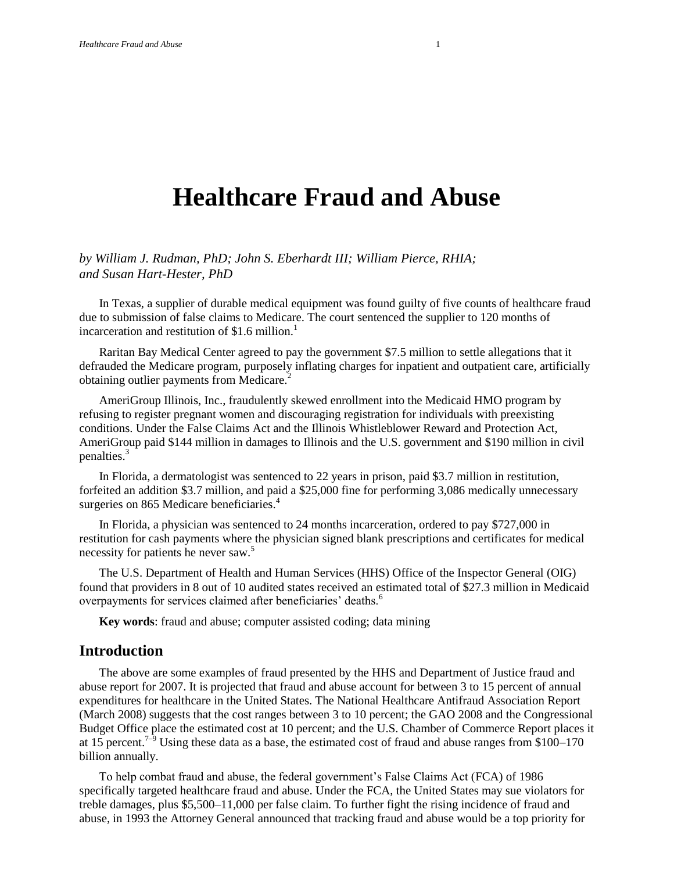# **Healthcare Fraud and Abuse**

*by William J. Rudman, PhD; John S. Eberhardt III; William Pierce, RHIA; and Susan Hart-Hester, PhD*

In Texas, a supplier of durable medical equipment was found guilty of five counts of healthcare fraud due to submission of false claims to Medicare. The court sentenced the supplier to 120 months of incarceration and restitution of \$1.6 million.<sup>1</sup>

Raritan Bay Medical Center agreed to pay the government \$7.5 million to settle allegations that it defrauded the Medicare program, purposely inflating charges for inpatient and outpatient care, artificially obtaining outlier payments from Medicare.<sup>2</sup>

AmeriGroup Illinois, Inc., fraudulently skewed enrollment into the Medicaid HMO program by refusing to register pregnant women and discouraging registration for individuals with preexisting conditions. Under the False Claims Act and the Illinois Whistleblower Reward and Protection Act, AmeriGroup paid \$144 million in damages to Illinois and the U.S. government and \$190 million in civil penalties.<sup>3</sup>

In Florida, a dermatologist was sentenced to 22 years in prison, paid \$3.7 million in restitution, forfeited an addition \$3.7 million, and paid a \$25,000 fine for performing 3,086 medically unnecessary surgeries on 865 Medicare beneficiaries.<sup>4</sup>

In Florida, a physician was sentenced to 24 months incarceration, ordered to pay \$727,000 in restitution for cash payments where the physician signed blank prescriptions and certificates for medical necessity for patients he never saw.<sup>5</sup>

The U.S. Department of Health and Human Services (HHS) Office of the Inspector General (OIG) found that providers in 8 out of 10 audited states received an estimated total of \$27.3 million in Medicaid overpayments for services claimed after beneficiaries' deaths.<sup>6</sup>

**Key words**: fraud and abuse; computer assisted coding; data mining

#### **Introduction**

The above are some examples of fraud presented by the HHS and Department of Justice fraud and abuse report for 2007. It is projected that fraud and abuse account for between 3 to 15 percent of annual expenditures for healthcare in the United States. The National Healthcare Antifraud Association Report (March 2008) suggests that the cost ranges between 3 to 10 percent; the GAO 2008 and the Congressional Budget Office place the estimated cost at 10 percent; and the U.S. Chamber of Commerce Report places it at 15 percent.<sup>7–9</sup> Using these data as a base, the estimated cost of fraud and abuse ranges from \$100–170 billion annually.

To help combat fraud and abuse, the federal government's False Claims Act (FCA) of 1986 specifically targeted healthcare fraud and abuse. Under the FCA, the United States may sue violators for treble damages, plus \$5,500–11,000 per false claim. To further fight the rising incidence of fraud and abuse, in 1993 the Attorney General announced that tracking fraud and abuse would be a top priority for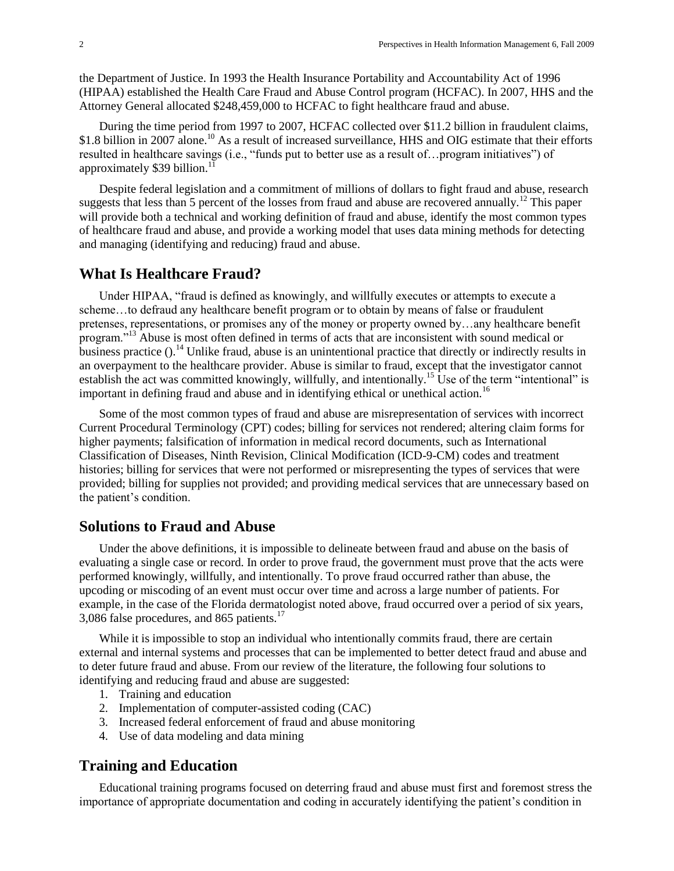the Department of Justice. In 1993 the Health Insurance Portability and Accountability Act of 1996 (HIPAA) established the Health Care Fraud and Abuse Control program (HCFAC). In 2007, HHS and the Attorney General allocated \$248,459,000 to HCFAC to fight healthcare fraud and abuse.

During the time period from 1997 to 2007, HCFAC collected over \$11.2 billion in fraudulent claims, \$1.8 billion in 2007 alone.<sup>10</sup> As a result of increased surveillance, HHS and OIG estimate that their efforts resulted in healthcare savings (i.e., "funds put to better use as a result of... program initiatives") of approximately  $$39$  billion.<sup>11</sup>

Despite federal legislation and a commitment of millions of dollars to fight fraud and abuse, research suggests that less than 5 percent of the losses from fraud and abuse are recovered annually.<sup>12</sup> This paper will provide both a technical and working definition of fraud and abuse, identify the most common types of healthcare fraud and abuse, and provide a working model that uses data mining methods for detecting and managing (identifying and reducing) fraud and abuse.

#### **What Is Healthcare Fraud?**

Under HIPAA, "fraud is defined as knowingly, and willfully executes or attempts to execute a scheme…to defraud any healthcare benefit program or to obtain by means of false or fraudulent pretenses, representations, or promises any of the money or property owned by…any healthcare benefit program."<sup>13</sup> Abuse is most often defined in terms of acts that are inconsistent with sound medical or business practice ().<sup>14</sup> Unlike fraud, abuse is an unintentional practice that directly or indirectly results in an overpayment to the healthcare provider. Abuse is similar to fraud, except that the investigator cannot establish the act was committed knowingly, willfully, and intentionally.<sup>15</sup> Use of the term "intentional" is important in defining fraud and abuse and in identifying ethical or unethical action.<sup>16</sup>

Some of the most common types of fraud and abuse are misrepresentation of services with incorrect Current Procedural Terminology (CPT) codes; billing for services not rendered; altering claim forms for higher payments; falsification of information in medical record documents, such as International Classification of Diseases, Ninth Revision, Clinical Modification (ICD-9-CM) codes and treatment histories; billing for services that were not performed or misrepresenting the types of services that were provided; billing for supplies not provided; and providing medical services that are unnecessary based on the patient's condition.

#### **Solutions to Fraud and Abuse**

Under the above definitions, it is impossible to delineate between fraud and abuse on the basis of evaluating a single case or record. In order to prove fraud, the government must prove that the acts were performed knowingly, willfully, and intentionally. To prove fraud occurred rather than abuse, the upcoding or miscoding of an event must occur over time and across a large number of patients. For example, in the case of the Florida dermatologist noted above, fraud occurred over a period of six years, 3,086 false procedures, and 865 patients. $17$ 

While it is impossible to stop an individual who intentionally commits fraud, there are certain external and internal systems and processes that can be implemented to better detect fraud and abuse and to deter future fraud and abuse. From our review of the literature, the following four solutions to identifying and reducing fraud and abuse are suggested:

- 1. Training and education
- 2. Implementation of computer-assisted coding (CAC)
- 3. Increased federal enforcement of fraud and abuse monitoring
- 4. Use of data modeling and data mining

#### **Training and Education**

Educational training programs focused on deterring fraud and abuse must first and foremost stress the importance of appropriate documentation and coding in accurately identifying the patient's condition in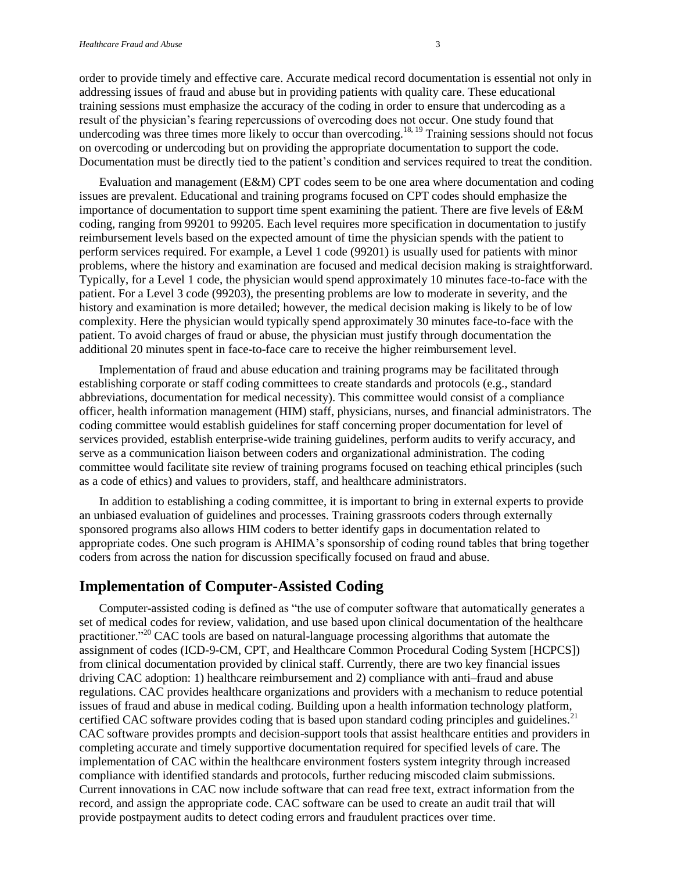order to provide timely and effective care. Accurate medical record documentation is essential not only in addressing issues of fraud and abuse but in providing patients with quality care. These educational training sessions must emphasize the accuracy of the coding in order to ensure that undercoding as a result of the physician's fearing repercussions of overcoding does not occur. One study found that undercoding was three times more likely to occur than overcoding.<sup>18, 19</sup> Training sessions should not focus on overcoding or undercoding but on providing the appropriate documentation to support the code. Documentation must be directly tied to the patient's condition and services required to treat the condition.

Evaluation and management (E&M) CPT codes seem to be one area where documentation and coding issues are prevalent. Educational and training programs focused on CPT codes should emphasize the importance of documentation to support time spent examining the patient. There are five levels of E&M coding, ranging from 99201 to 99205. Each level requires more specification in documentation to justify reimbursement levels based on the expected amount of time the physician spends with the patient to perform services required. For example, a Level 1 code (99201) is usually used for patients with minor problems, where the history and examination are focused and medical decision making is straightforward. Typically, for a Level 1 code, the physician would spend approximately 10 minutes face-to-face with the patient. For a Level 3 code (99203), the presenting problems are low to moderate in severity, and the history and examination is more detailed; however, the medical decision making is likely to be of low complexity. Here the physician would typically spend approximately 30 minutes face-to-face with the patient. To avoid charges of fraud or abuse, the physician must justify through documentation the additional 20 minutes spent in face-to-face care to receive the higher reimbursement level.

Implementation of fraud and abuse education and training programs may be facilitated through establishing corporate or staff coding committees to create standards and protocols (e.g., standard abbreviations, documentation for medical necessity). This committee would consist of a compliance officer, health information management (HIM) staff, physicians, nurses, and financial administrators. The coding committee would establish guidelines for staff concerning proper documentation for level of services provided, establish enterprise-wide training guidelines, perform audits to verify accuracy, and serve as a communication liaison between coders and organizational administration. The coding committee would facilitate site review of training programs focused on teaching ethical principles (such as a code of ethics) and values to providers, staff, and healthcare administrators.

In addition to establishing a coding committee, it is important to bring in external experts to provide an unbiased evaluation of guidelines and processes. Training grassroots coders through externally sponsored programs also allows HIM coders to better identify gaps in documentation related to appropriate codes. One such program is AHIMA's sponsorship of coding round tables that bring together coders from across the nation for discussion specifically focused on fraud and abuse.

#### **Implementation of Computer-Assisted Coding**

Computer-assisted coding is defined as "the use of computer software that automatically generates a set of medical codes for review, validation, and use based upon clinical documentation of the healthcare practitioner.<sup>220</sup> CAC tools are based on natural-language processing algorithms that automate the assignment of codes (ICD-9-CM, CPT, and Healthcare Common Procedural Coding System [HCPCS]) from clinical documentation provided by clinical staff. Currently, there are two key financial issues driving CAC adoption: 1) healthcare reimbursement and 2) compliance with anti–fraud and abuse regulations. CAC provides healthcare organizations and providers with a mechanism to reduce potential issues of fraud and abuse in medical coding. Building upon a health information technology platform, certified CAC software provides coding that is based upon standard coding principles and guidelines.<sup>21</sup> CAC software provides prompts and decision-support tools that assist healthcare entities and providers in completing accurate and timely supportive documentation required for specified levels of care. The implementation of CAC within the healthcare environment fosters system integrity through increased compliance with identified standards and protocols, further reducing miscoded claim submissions. Current innovations in CAC now include software that can read free text, extract information from the record, and assign the appropriate code. CAC software can be used to create an audit trail that will provide postpayment audits to detect coding errors and fraudulent practices over time.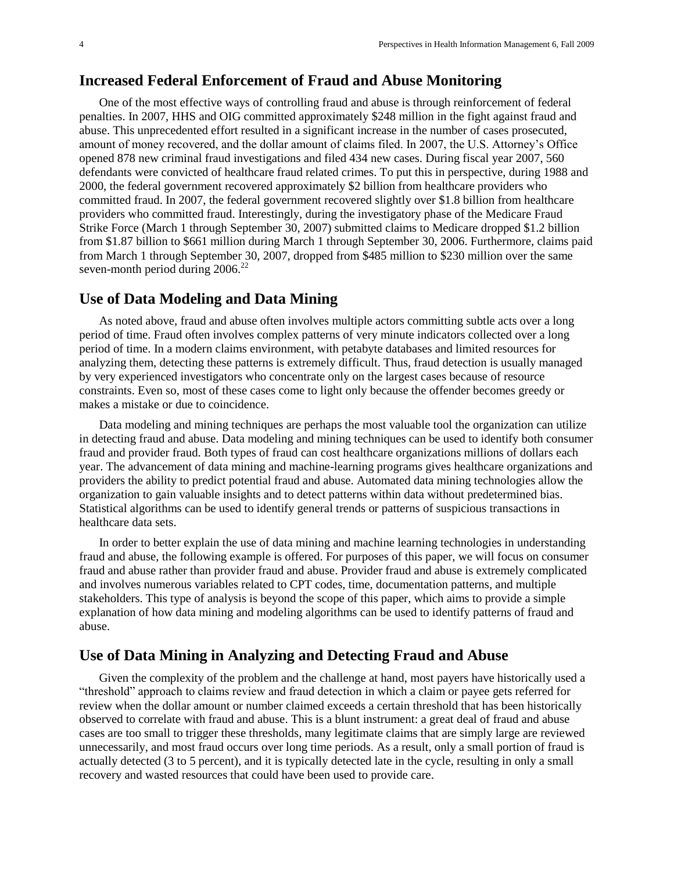#### **Increased Federal Enforcement of Fraud and Abuse Monitoring**

One of the most effective ways of controlling fraud and abuse is through reinforcement of federal penalties. In 2007, HHS and OIG committed approximately \$248 million in the fight against fraud and abuse. This unprecedented effort resulted in a significant increase in the number of cases prosecuted, amount of money recovered, and the dollar amount of claims filed. In 2007, the U.S. Attorney's Office opened 878 new criminal fraud investigations and filed 434 new cases. During fiscal year 2007, 560 defendants were convicted of healthcare fraud related crimes. To put this in perspective, during 1988 and 2000, the federal government recovered approximately \$2 billion from healthcare providers who committed fraud. In 2007, the federal government recovered slightly over \$1.8 billion from healthcare providers who committed fraud. Interestingly, during the investigatory phase of the Medicare Fraud Strike Force (March 1 through September 30, 2007) submitted claims to Medicare dropped \$1.2 billion from \$1.87 billion to \$661 million during March 1 through September 30, 2006. Furthermore, claims paid from March 1 through September 30, 2007, dropped from \$485 million to \$230 million over the same seven-month period during  $2006.<sup>22</sup>$ 

#### **Use of Data Modeling and Data Mining**

As noted above, fraud and abuse often involves multiple actors committing subtle acts over a long period of time. Fraud often involves complex patterns of very minute indicators collected over a long period of time. In a modern claims environment, with petabyte databases and limited resources for analyzing them, detecting these patterns is extremely difficult. Thus, fraud detection is usually managed by very experienced investigators who concentrate only on the largest cases because of resource constraints. Even so, most of these cases come to light only because the offender becomes greedy or makes a mistake or due to coincidence.

Data modeling and mining techniques are perhaps the most valuable tool the organization can utilize in detecting fraud and abuse. Data modeling and mining techniques can be used to identify both consumer fraud and provider fraud. Both types of fraud can cost healthcare organizations millions of dollars each year. The advancement of data mining and machine-learning programs gives healthcare organizations and providers the ability to predict potential fraud and abuse. Automated data mining technologies allow the organization to gain valuable insights and to detect patterns within data without predetermined bias. Statistical algorithms can be used to identify general trends or patterns of suspicious transactions in healthcare data sets.

In order to better explain the use of data mining and machine learning technologies in understanding fraud and abuse, the following example is offered. For purposes of this paper, we will focus on consumer fraud and abuse rather than provider fraud and abuse. Provider fraud and abuse is extremely complicated and involves numerous variables related to CPT codes, time, documentation patterns, and multiple stakeholders. This type of analysis is beyond the scope of this paper, which aims to provide a simple explanation of how data mining and modeling algorithms can be used to identify patterns of fraud and abuse.

#### **Use of Data Mining in Analyzing and Detecting Fraud and Abuse**

Given the complexity of the problem and the challenge at hand, most payers have historically used a "threshold" approach to claims review and fraud detection in which a claim or payee gets referred for review when the dollar amount or number claimed exceeds a certain threshold that has been historically observed to correlate with fraud and abuse. This is a blunt instrument: a great deal of fraud and abuse cases are too small to trigger these thresholds, many legitimate claims that are simply large are reviewed unnecessarily, and most fraud occurs over long time periods. As a result, only a small portion of fraud is actually detected (3 to 5 percent), and it is typically detected late in the cycle, resulting in only a small recovery and wasted resources that could have been used to provide care.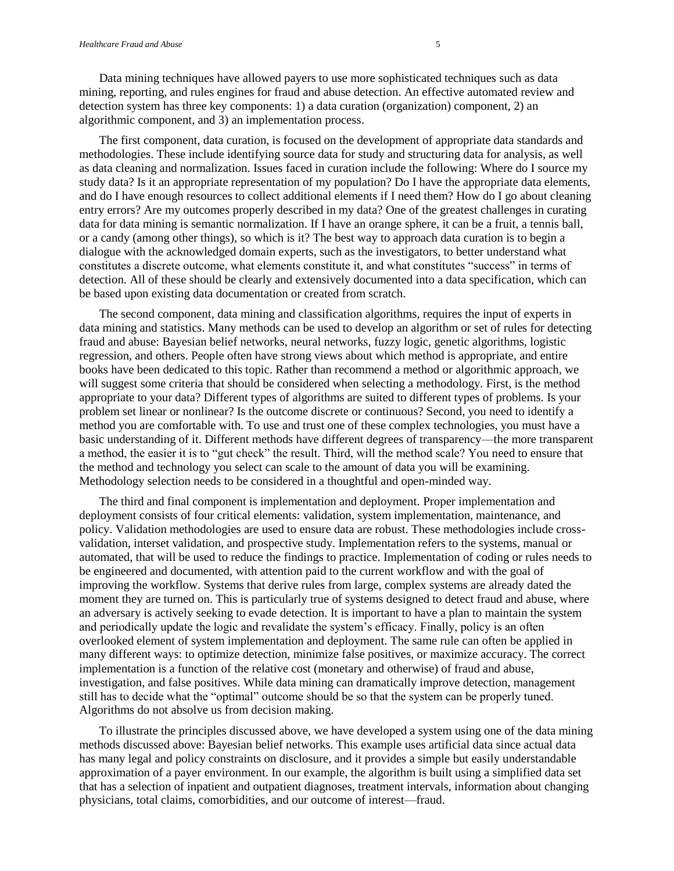Data mining techniques have allowed payers to use more sophisticated techniques such as data mining, reporting, and rules engines for fraud and abuse detection. An effective automated review and detection system has three key components: 1) a data curation (organization) component, 2) an algorithmic component, and 3) an implementation process.

The first component, data curation, is focused on the development of appropriate data standards and methodologies. These include identifying source data for study and structuring data for analysis, as well as data cleaning and normalization. Issues faced in curation include the following: Where do I source my study data? Is it an appropriate representation of my population? Do I have the appropriate data elements, and do I have enough resources to collect additional elements if I need them? How do I go about cleaning entry errors? Are my outcomes properly described in my data? One of the greatest challenges in curating data for data mining is semantic normalization. If I have an orange sphere, it can be a fruit, a tennis ball, or a candy (among other things), so which is it? The best way to approach data curation is to begin a dialogue with the acknowledged domain experts, such as the investigators, to better understand what constitutes a discrete outcome, what elements constitute it, and what constitutes "success" in terms of detection. All of these should be clearly and extensively documented into a data specification, which can be based upon existing data documentation or created from scratch.

The second component, data mining and classification algorithms, requires the input of experts in data mining and statistics. Many methods can be used to develop an algorithm or set of rules for detecting fraud and abuse: Bayesian belief networks, neural networks, fuzzy logic, genetic algorithms, logistic regression, and others. People often have strong views about which method is appropriate, and entire books have been dedicated to this topic. Rather than recommend a method or algorithmic approach, we will suggest some criteria that should be considered when selecting a methodology. First, is the method appropriate to your data? Different types of algorithms are suited to different types of problems. Is your problem set linear or nonlinear? Is the outcome discrete or continuous? Second, you need to identify a method you are comfortable with. To use and trust one of these complex technologies, you must have a basic understanding of it. Different methods have different degrees of transparency—the more transparent a method, the easier it is to "gut check" the result. Third, will the method scale? You need to ensure that the method and technology you select can scale to the amount of data you will be examining. Methodology selection needs to be considered in a thoughtful and open-minded way.

The third and final component is implementation and deployment. Proper implementation and deployment consists of four critical elements: validation, system implementation, maintenance, and policy. Validation methodologies are used to ensure data are robust. These methodologies include crossvalidation, interset validation, and prospective study. Implementation refers to the systems, manual or automated, that will be used to reduce the findings to practice. Implementation of coding or rules needs to be engineered and documented, with attention paid to the current workflow and with the goal of improving the workflow. Systems that derive rules from large, complex systems are already dated the moment they are turned on. This is particularly true of systems designed to detect fraud and abuse, where an adversary is actively seeking to evade detection. It is important to have a plan to maintain the system and periodically update the logic and revalidate the system's efficacy. Finally, policy is an often overlooked element of system implementation and deployment. The same rule can often be applied in many different ways: to optimize detection, minimize false positives, or maximize accuracy. The correct implementation is a function of the relative cost (monetary and otherwise) of fraud and abuse, investigation, and false positives. While data mining can dramatically improve detection, management still has to decide what the "optimal" outcome should be so that the system can be properly tuned. Algorithms do not absolve us from decision making.

To illustrate the principles discussed above, we have developed a system using one of the data mining methods discussed above: Bayesian belief networks. This example uses artificial data since actual data has many legal and policy constraints on disclosure, and it provides a simple but easily understandable approximation of a payer environment. In our example, the algorithm is built using a simplified data set that has a selection of inpatient and outpatient diagnoses, treatment intervals, information about changing physicians, total claims, comorbidities, and our outcome of interest—fraud.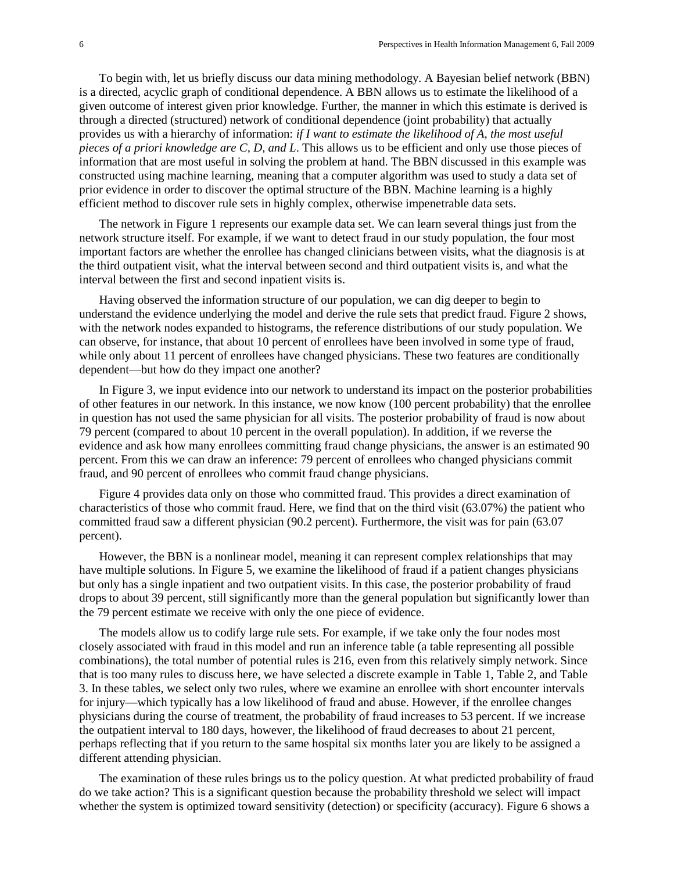To begin with, let us briefly discuss our data mining methodology. A Bayesian belief network (BBN) is a directed, acyclic graph of conditional dependence. A BBN allows us to estimate the likelihood of a given outcome of interest given prior knowledge. Further, the manner in which this estimate is derived is through a directed (structured) network of conditional dependence (joint probability) that actually provides us with a hierarchy of information: *if I want to estimate the likelihood of A, the most useful pieces of a priori knowledge are C, D, and L*. This allows us to be efficient and only use those pieces of information that are most useful in solving the problem at hand. The BBN discussed in this example was constructed using machine learning, meaning that a computer algorithm was used to study a data set of prior evidence in order to discover the optimal structure of the BBN. Machine learning is a highly efficient method to discover rule sets in highly complex, otherwise impenetrable data sets.

The network in Figure 1 represents our example data set. We can learn several things just from the network structure itself. For example, if we want to detect fraud in our study population, the four most important factors are whether the enrollee has changed clinicians between visits, what the diagnosis is at the third outpatient visit, what the interval between second and third outpatient visits is, and what the interval between the first and second inpatient visits is.

Having observed the information structure of our population, we can dig deeper to begin to understand the evidence underlying the model and derive the rule sets that predict fraud. Figure 2 shows, with the network nodes expanded to histograms, the reference distributions of our study population. We can observe, for instance, that about 10 percent of enrollees have been involved in some type of fraud, while only about 11 percent of enrollees have changed physicians. These two features are conditionally dependent—but how do they impact one another?

In Figure 3, we input evidence into our network to understand its impact on the posterior probabilities of other features in our network. In this instance, we now know (100 percent probability) that the enrollee in question has not used the same physician for all visits. The posterior probability of fraud is now about 79 percent (compared to about 10 percent in the overall population). In addition, if we reverse the evidence and ask how many enrollees committing fraud change physicians, the answer is an estimated 90 percent. From this we can draw an inference: 79 percent of enrollees who changed physicians commit fraud, and 90 percent of enrollees who commit fraud change physicians.

Figure 4 provides data only on those who committed fraud. This provides a direct examination of characteristics of those who commit fraud. Here, we find that on the third visit (63.07%) the patient who committed fraud saw a different physician (90.2 percent). Furthermore, the visit was for pain (63.07 percent).

However, the BBN is a nonlinear model, meaning it can represent complex relationships that may have multiple solutions. In Figure 5, we examine the likelihood of fraud if a patient changes physicians but only has a single inpatient and two outpatient visits. In this case, the posterior probability of fraud drops to about 39 percent, still significantly more than the general population but significantly lower than the 79 percent estimate we receive with only the one piece of evidence.

The models allow us to codify large rule sets. For example, if we take only the four nodes most closely associated with fraud in this model and run an inference table (a table representing all possible combinations), the total number of potential rules is 216, even from this relatively simply network. Since that is too many rules to discuss here, we have selected a discrete example in Table 1, Table 2, and Table 3. In these tables, we select only two rules, where we examine an enrollee with short encounter intervals for injury—which typically has a low likelihood of fraud and abuse. However, if the enrollee changes physicians during the course of treatment, the probability of fraud increases to 53 percent. If we increase the outpatient interval to 180 days, however, the likelihood of fraud decreases to about 21 percent, perhaps reflecting that if you return to the same hospital six months later you are likely to be assigned a different attending physician.

The examination of these rules brings us to the policy question. At what predicted probability of fraud do we take action? This is a significant question because the probability threshold we select will impact whether the system is optimized toward sensitivity (detection) or specificity (accuracy). Figure 6 shows a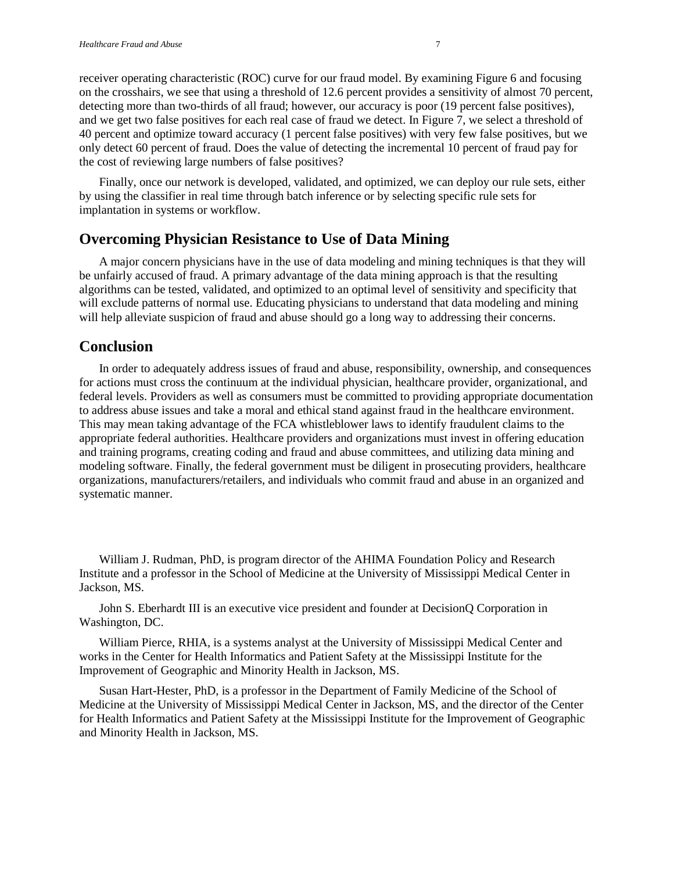receiver operating characteristic (ROC) curve for our fraud model. By examining Figure 6 and focusing on the crosshairs, we see that using a threshold of 12.6 percent provides a sensitivity of almost 70 percent, detecting more than two-thirds of all fraud; however, our accuracy is poor (19 percent false positives), and we get two false positives for each real case of fraud we detect. In Figure 7, we select a threshold of 40 percent and optimize toward accuracy (1 percent false positives) with very few false positives, but we only detect 60 percent of fraud. Does the value of detecting the incremental 10 percent of fraud pay for the cost of reviewing large numbers of false positives?

Finally, once our network is developed, validated, and optimized, we can deploy our rule sets, either by using the classifier in real time through batch inference or by selecting specific rule sets for implantation in systems or workflow.

#### **Overcoming Physician Resistance to Use of Data Mining**

A major concern physicians have in the use of data modeling and mining techniques is that they will be unfairly accused of fraud. A primary advantage of the data mining approach is that the resulting algorithms can be tested, validated, and optimized to an optimal level of sensitivity and specificity that will exclude patterns of normal use. Educating physicians to understand that data modeling and mining will help alleviate suspicion of fraud and abuse should go a long way to addressing their concerns.

#### **Conclusion**

In order to adequately address issues of fraud and abuse, responsibility, ownership, and consequences for actions must cross the continuum at the individual physician, healthcare provider, organizational, and federal levels. Providers as well as consumers must be committed to providing appropriate documentation to address abuse issues and take a moral and ethical stand against fraud in the healthcare environment. This may mean taking advantage of the FCA whistleblower laws to identify fraudulent claims to the appropriate federal authorities. Healthcare providers and organizations must invest in offering education and training programs, creating coding and fraud and abuse committees, and utilizing data mining and modeling software. Finally, the federal government must be diligent in prosecuting providers, healthcare organizations, manufacturers/retailers, and individuals who commit fraud and abuse in an organized and systematic manner.

William J. Rudman, PhD, is program director of the AHIMA Foundation Policy and Research Institute and a professor in the School of Medicine at the University of Mississippi Medical Center in Jackson, MS.

John S. Eberhardt III is an executive vice president and founder at DecisionQ Corporation in Washington, DC.

William Pierce, RHIA, is a systems analyst at the University of Mississippi Medical Center and works in the Center for Health Informatics and Patient Safety at the Mississippi Institute for the Improvement of Geographic and Minority Health in Jackson, MS.

Susan Hart-Hester, PhD, is a professor in the Department of Family Medicine of the School of Medicine at the University of Mississippi Medical Center in Jackson, MS, and the director of the Center for Health Informatics and Patient Safety at the Mississippi Institute for the Improvement of Geographic and Minority Health in Jackson, MS.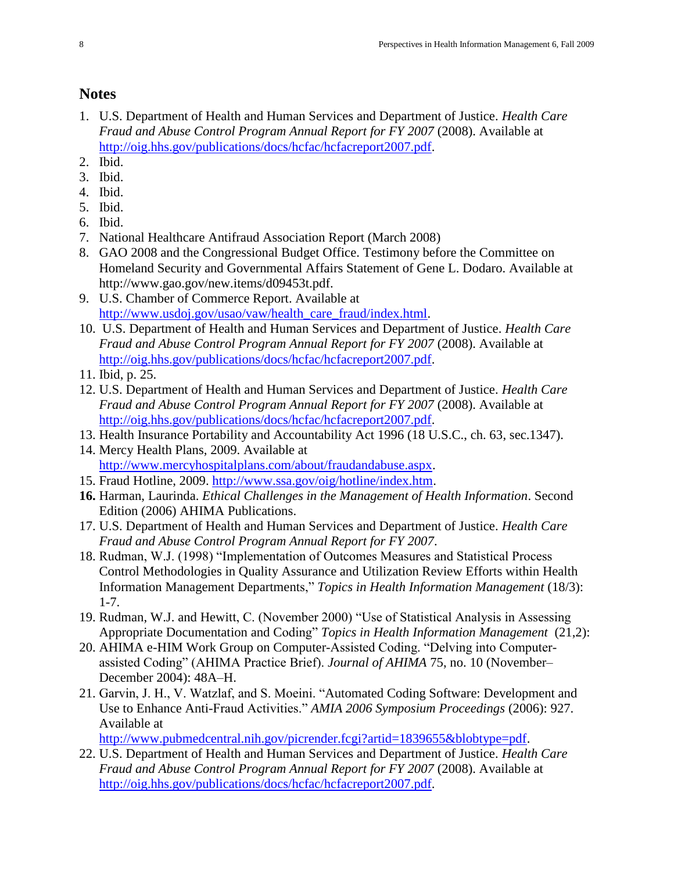# **Notes**

- 1. U.S. Department of Health and Human Services and Department of Justice. *Health Care Fraud and Abuse Control Program Annual Report for FY 2007 (2008). Available at* [http://oig.hhs.gov/publications/docs/hcfac/hcfacreport2007.pdf.](http://oig.hhs.gov/publications/docs/hcfac/hcfacreport2007.pdf)
- 2. Ibid.
- 3. Ibid.
- 4. Ibid.
- 5. Ibid.
- 6. Ibid.
- 7. National Healthcare Antifraud Association Report (March 2008)
- 8. GAO 2008 and the Congressional Budget Office. Testimony before the Committee on Homeland Security and Governmental Affairs Statement of Gene L. Dodaro. Available at http://www.gao.gov/new.items/d09453t.pdf.
- 9. U.S. Chamber of Commerce Report. Available at [http://www.usdoj.gov/usao/vaw/health\\_care\\_fraud/index.html.](http://www.usdoj.gov/usao/vaw/health_care_fraud/index.html)
- 10. U.S. Department of Health and Human Services and Department of Justice. *Health Care Fraud and Abuse Control Program Annual Report for FY 2007* (2008). Available at [http://oig.hhs.gov/publications/docs/hcfac/hcfacreport2007.pdf.](http://oig.hhs.gov/publications/docs/hcfac/hcfacreport2007.pdf)
- 11. Ibid, p. 25.
- 12. U.S. Department of Health and Human Services and Department of Justice. *Health Care Fraud and Abuse Control Program Annual Report for FY 2007 (2008). Available at* [http://oig.hhs.gov/publications/docs/hcfac/hcfacreport2007.pdf.](http://oig.hhs.gov/publications/docs/hcfac/hcfacreport2007.pdf)
- 13. Health Insurance Portability and Accountability Act 1996 (18 U.S.C., ch. 63, sec.1347). 14. Mercy Health Plans, 2009. Available at
	- [http://www.mercyhospitalplans.com/about/fraudandabuse.aspx.](http://www.mercyhospitalplans.com/about/fraudandabuse.aspx)
- 15. Fraud Hotline, 2009. [http://www.ssa.gov/oig/hotline/index.htm.](http://www.ssa.gov/oig/hotline/index.htm)
- **16.** Harman, Laurinda. *Ethical Challenges in the Management of Health Information*. Second Edition (2006) AHIMA Publications.
- 17. U.S. Department of Health and Human Services and Department of Justice. *Health Care Fraud and Abuse Control Program Annual Report for FY 2007*.
- 18. Rudman, W.J. (1998) "Implementation of Outcomes Measures and Statistical Process Control Methodologies in Quality Assurance and Utilization Review Efforts within Health Information Management Departments," *Topics in Health Information Management* (18/3): 1-7.
- 19. Rudman, W.J. and Hewitt, C. (November 2000) "Use of Statistical Analysis in Assessing Appropriate Documentation and Coding" *Topics in Health Information Management* (21,2):
- 20. AHIMA e-HIM Work Group on Computer-Assisted Coding. "Delving into Computerassisted Coding" (AHIMA Practice Brief). *Journal of AHIMA* 75, no. 10 (November– December 2004): 48A–H.
- 21. Garvin, J. H., V. Watzlaf, and S. Moeini. "Automated Coding Software: Development and Use to Enhance Anti-Fraud Activities." *AMIA 2006 Symposium Proceedings* (2006): 927. Available at

[http://www.pubmedcentral.nih.gov/picrender.fcgi?artid=1839655&blobtype=pdf.](http://www.pubmedcentral.nih.gov/picrender.fcgi?artid=1839655&blobtype=pdf)

22. U.S. Department of Health and Human Services and Department of Justice. *Health Care Fraud and Abuse Control Program Annual Report for FY 2007 (2008). Available at* [http://oig.hhs.gov/publications/docs/hcfac/hcfacreport2007.pdf.](http://oig.hhs.gov/publications/docs/hcfac/hcfacreport2007.pdf)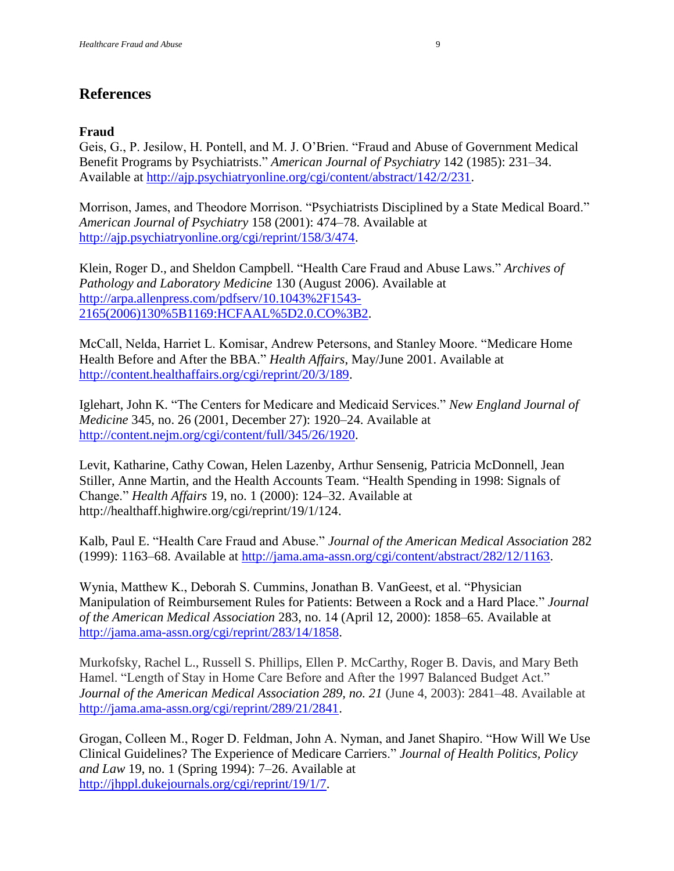# **References**

#### **Fraud**

Geis, G., P. Jesilow, H. Pontell, and M. J. O'Brien. "Fraud and Abuse of Government Medical Benefit Programs by Psychiatrists." *American Journal of Psychiatry* 142 (1985): 231–34. Available at [http://ajp.psychiatryonline.org/cgi/content/abstract/142/2/231.](http://ajp.psychiatryonline.org/cgi/content/abstract/142/2/231)

Morrison, James, and Theodore Morrison. "Psychiatrists Disciplined by a State Medical Board." *American Journal of Psychiatry* 158 (2001): 474–78. Available at [http://ajp.psychiatryonline.org/cgi/reprint/158/3/474.](http://ajp.psychiatryonline.org/cgi/reprint/158/3/474)

Klein, Roger D., and Sheldon Campbell. "Health Care Fraud and Abuse Laws." Archives of *Pathology and Laboratory Medicine* 130 (August 2006). Available at [http://arpa.allenpress.com/pdfserv/10.1043%2F1543-](http://arpa.allenpress.com/pdfserv/10.1043%2F1543-2165(2006)130%5B1169:HCFAAL%5D2.0.CO%3B2) [2165\(2006\)130%5B1169:HCFAAL%5D2.0.CO%3B2.](http://arpa.allenpress.com/pdfserv/10.1043%2F1543-2165(2006)130%5B1169:HCFAAL%5D2.0.CO%3B2)

McCall, Nelda, Harriet L. Komisar, Andrew Petersons, and Stanley Moore. "Medicare Home Health Before and After the BBA." *Health Affairs*, May/June 2001. Available at [http://content.healthaffairs.org/cgi/reprint/20/3/189.](http://content.healthaffairs.org/cgi/reprint/20/3/189)

Iglehart, John K. "The Centers for Medicare and Medicaid Services." *New England Journal of Medicine* 345, no. 26 (2001, December 27): 1920–24. Available at [http://content.nejm.org/cgi/content/full/345/26/1920.](http://content.nejm.org/cgi/content/full/345/26/1920)

Levit, Katharine, Cathy Cowan, Helen Lazenby, Arthur Sensenig, Patricia McDonnell, Jean Stiller, Anne Martin, and the Health Accounts Team. "Health Spending in 1998: Signals of Change.‖ *Health Affairs* 19, no. 1 (2000): 124–32. Available at [http://healthaff.highwire.org/cgi/reprint/19/1/124.](http://healthaff.highwire.org/cgi/reprint/19/1/124)

Kalb, Paul E. "Health Care Fraud and Abuse." *Journal of the American Medical Association* 282 (1999): 1163–68. Available at [http://jama.ama-assn.org/cgi/content/abstract/282/12/1163.](http://jama.ama-assn.org/cgi/content/abstract/282/12/1163)

Wynia, Matthew K., Deborah S. Cummins, Jonathan B. VanGeest, et al. "Physician" Manipulation of Reimbursement Rules for Patients: Between a Rock and a Hard Place." *Journal of the American Medical Association* 283, no. 14 (April 12, 2000): 1858–65. Available at [http://jama.ama-assn.org/cgi/reprint/283/14/1858.](http://jama.ama-assn.org/cgi/reprint/283/14/1858)

Murkofsky, Rachel L., Russell S. Phillips, Ellen P. McCarthy, Roger B. Davis, and Mary Beth Hamel. "Length of Stay in Home Care Before and After the 1997 Balanced Budget Act." *Journal of the American Medical Association 289, no. 21* (June 4, 2003): 2841–48. Available at [http://jama.ama-assn.org/cgi/reprint/289/21/2841.](http://jama.ama-assn.org/cgi/reprint/289/21/2841)

Grogan, Colleen M., Roger D. Feldman, John A. Nyman, and Janet Shapiro. "How Will We Use Clinical Guidelines? The Experience of Medicare Carriers.‖ *Journal of Health Politics, Policy and Law* 19, no. 1 (Spring 1994): 7–26. Available at [http://jhppl.dukejournals.org/cgi/reprint/19/1/7.](http://jhppl.dukejournals.org/cgi/reprint/19/1/7)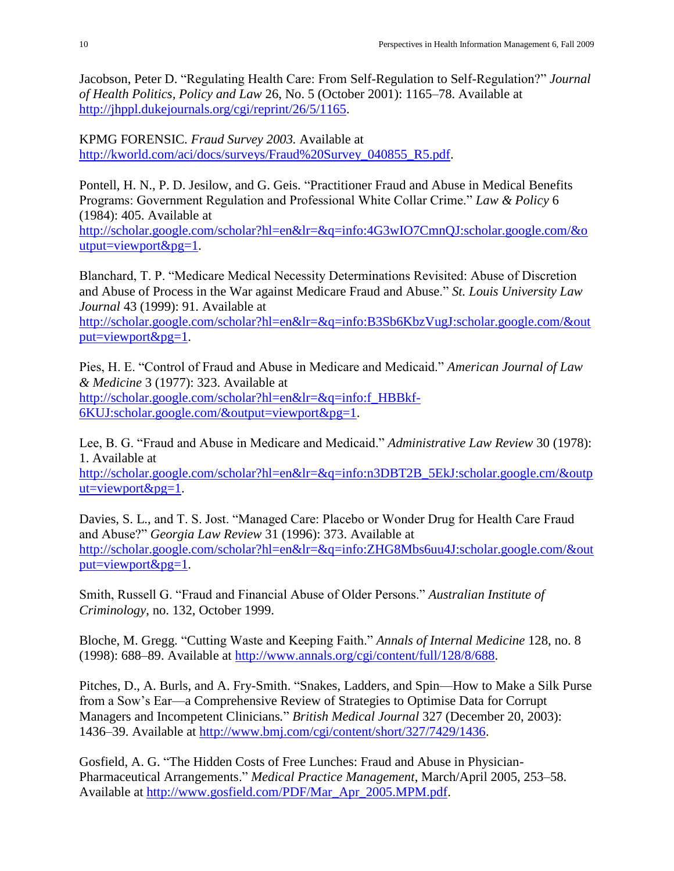Jacobson, Peter D. "Regulating Health Care: From Self-Regulation to Self-Regulation?" *Journal of Health Politics, Policy and Law* 26, No. 5 (October 2001): 1165–78. Available at [http://jhppl.dukejournals.org/cgi/reprint/26/5/1165.](http://jhppl.dukejournals.org/cgi/reprint/26/5/1165)

KPMG FORENSIC. *Fraud Survey 2003.* Available at [http://kworld.com/aci/docs/surveys/Fraud%20Survey\\_040855\\_R5.pdf.](http://kworld.com/aci/docs/surveys/Fraud%20Survey_040855_R5.pdf)

Pontell, H. N., P. D. Jesilow, and G. Geis. "Practitioner Fraud and Abuse in Medical Benefits Programs: Government Regulation and Professional White Collar Crime." *Law & Policy* 6 (1984): 405. Available at

[http://scholar.google.com/scholar?hl=en&lr=&q=info:4G3wIO7CmnQJ:scholar.google.com/&o](http://scholar.google.com/scholar?hl=en&lr=&q=info:4G3wIO7CmnQJ:scholar.google.com/&output=viewport&pg=1) [utput=viewport&pg=1.](http://scholar.google.com/scholar?hl=en&lr=&q=info:4G3wIO7CmnQJ:scholar.google.com/&output=viewport&pg=1)

Blanchard, T. P. "Medicare Medical Necessity Determinations Revisited: Abuse of Discretion and Abuse of Process in the War against Medicare Fraud and Abuse." *St. Louis University Law Journal* 43 (1999): 91. Available at

[http://scholar.google.com/scholar?hl=en&lr=&q=info:B3Sb6KbzVugJ:scholar.google.com/&out](http://scholar.google.com/scholar?hl=en&lr=&q=info:B3Sb6KbzVugJ:scholar.google.com/&output=viewport&pg=1) [put=viewport&pg=1.](http://scholar.google.com/scholar?hl=en&lr=&q=info:B3Sb6KbzVugJ:scholar.google.com/&output=viewport&pg=1)

Pies, H. E. "Control of Fraud and Abuse in Medicare and Medicaid." *American Journal of Law & Medicine* 3 (1977): 323. Available at [http://scholar.google.com/scholar?hl=en&lr=&q=info:f\\_HBBkf-](http://scholar.google.com/scholar?hl=en&lr=&q=info:f_HBBkf-6KUJ:scholar.google.com/&output=viewport&pg=1)[6KUJ:scholar.google.com/&output=viewport&pg=1.](http://scholar.google.com/scholar?hl=en&lr=&q=info:f_HBBkf-6KUJ:scholar.google.com/&output=viewport&pg=1)

Lee, B. G. "Fraud and Abuse in Medicare and Medicaid." *Administrative Law Review* 30 (1978): 1. Available at [http://scholar.google.com/scholar?hl=en&lr=&q=info:n3DBT2B\\_5EkJ:scholar.google.cm/&outp](http://scholar.google.com/scholar?hl=en&lr=&q=info:n3DBT2B_5EkJ:scholar.google.com/&output=viewport&pg=1)  $ut = viewport\&pg=1.$ 

Davies, S. L., and T. S. Jost. "Managed Care: Placebo or Wonder Drug for Health Care Fraud and Abuse?‖ *Georgia Law Review* 31 (1996): 373. Available at [http://scholar.google.com/scholar?hl=en&lr=&q=info:ZHG8Mbs6uu4J:scholar.google.com/&out](http://scholar.google.com/scholar?hl=en&lr=&q=info:ZHG8Mbs6uu4J:scholar.google.com/&output=viewport&pg=1) [put=viewport&pg=1.](http://scholar.google.com/scholar?hl=en&lr=&q=info:ZHG8Mbs6uu4J:scholar.google.com/&output=viewport&pg=1)

Smith, Russell G. "Fraud and Financial Abuse of Older Persons." *Australian Institute of Criminology*, no. 132, October 1999.

Bloche, M. Gregg. ―Cutting Waste and Keeping Faith.‖ *Annals of Internal Medicine* 128, no. 8 (1998): 688–89. Available at [http://www.annals.org/cgi/content/full/128/8/688.](http://www.annals.org/cgi/content/full/128/8/688)

Pitches, D., A. Burls, and A. Fry-Smith. "Snakes, Ladders, and Spin—How to Make a Silk Purse from a Sow's Ear—a Comprehensive Review of Strategies to Optimise Data for Corrupt Managers and Incompetent Clinicians." *British Medical Journal* 327 (December 20, 2003): 1436–39. Available at [http://www.bmj.com/cgi/content/short/327/7429/1436.](http://www.bmj.com/cgi/content/short/327/7429/1436)

Gosfield, A. G. "The Hidden Costs of Free Lunches: Fraud and Abuse in Physician-Pharmaceutical Arrangements.‖ *Medical Practice Management*, March/April 2005, 253–58. Available at [http://www.gosfield.com/PDF/Mar\\_Apr\\_2005.MPM.pdf.](http://www.gosfield.com/PDF/Mar_Apr_2005.MPM.pdf)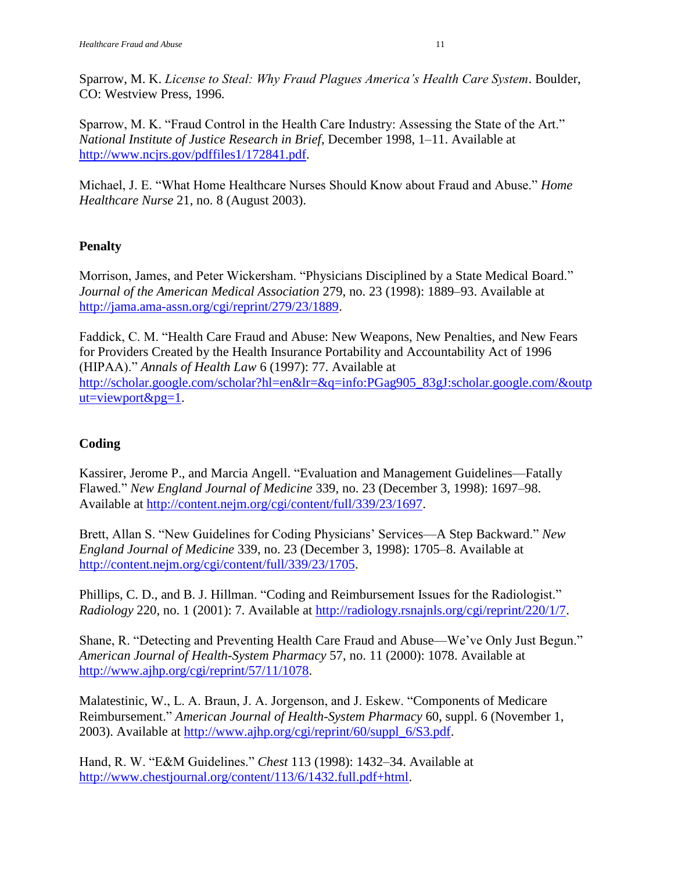Sparrow, M. K. *License to Steal: Why Fraud Plagues America's Health Care System*. Boulder, CO: Westview Press, 1996*.* 

Sparrow, M. K. "Fraud Control in the Health Care Industry: Assessing the State of the Art." *National Institute of Justice Research in Brief*, December 1998, 1–11. Available at [http://www.ncjrs.gov/pdffiles1/172841.pdf.](http://www.ncjrs.gov/pdffiles1/172841.pdf)

Michael, J. E. "What Home Healthcare Nurses Should Know about Fraud and Abuse." *Home Healthcare Nurse* 21, no. 8 (August 2003).

### **Penalty**

Morrison, James, and Peter Wickersham. "Physicians Disciplined by a State Medical Board." *Journal of the American Medical Association* 279, no. 23 (1998): 1889–93. Available at [http://jama.ama-assn.org/cgi/reprint/279/23/1889.](http://jama.ama-assn.org/cgi/reprint/279/23/1889)

Faddick, C. M. "Health Care Fraud and Abuse: New Weapons, New Penalties, and New Fears for Providers Created by the Health Insurance Portability and Accountability Act of 1996 (HIPAA).‖ *Annals of Health Law* 6 (1997): 77. Available at [http://scholar.google.com/scholar?hl=en&lr=&q=info:PGag905\\_83gJ:scholar.google.com/&outp](http://scholar.google.com/scholar?hl=en&lr=&q=info:PGag905_83gJ:scholar.google.com/&output=viewport&pg=1) [ut=viewport&pg=1.](http://scholar.google.com/scholar?hl=en&lr=&q=info:PGag905_83gJ:scholar.google.com/&output=viewport&pg=1)

### **Coding**

Kassirer, Jerome P., and Marcia Angell. "Evaluation and Management Guidelines—Fatally Flawed.‖ *New England Journal of Medicine* 339, no. 23 (December 3, 1998): 1697–98. Available at [http://content.nejm.org/cgi/content/full/339/23/1697.](http://content.nejm.org/cgi/content/full/339/23/1697)

Brett, Allan S. "New Guidelines for Coding Physicians' Services—A Step Backward." *New England Journal of Medicine* 339, no. 23 (December 3, 1998): 1705–8. Available at [http://content.nejm.org/cgi/content/full/339/23/1705.](http://content.nejm.org/cgi/content/full/339/23/1705)

Phillips, C. D., and B. J. Hillman. "Coding and Reimbursement Issues for the Radiologist." *Radiology* 220, no. 1 (2001): 7. Available at [http://radiology.rsnajnls.org/cgi/reprint/220/1/7.](http://radiology.rsnajnls.org/cgi/reprint/220/1/7)

Shane, R. "Detecting and Preventing Health Care Fraud and Abuse—We've Only Just Begun." *American Journal of Health-System Pharmacy* 57, no. 11 (2000): 1078. Available at [http://www.ajhp.org/cgi/reprint/57/11/1078.](http://www.ajhp.org/cgi/reprint/57/11/1078)

Malatestinic, W., L. A. Braun, J. A. Jorgenson, and J. Eskew. "Components of Medicare Reimbursement.‖ *American Journal of Health-System Pharmacy* 60, suppl. 6 (November 1, 2003). Available at [http://www.ajhp.org/cgi/reprint/60/suppl\\_6/S3.pdf.](http://www.ajhp.org/cgi/reprint/60/suppl_6/S3.pdf)

Hand, R. W. "E&M Guidelines." Chest 113 (1998): 1432–34. Available at [http://www.chestjournal.org/content/113/6/1432.full.pdf+html.](http://www.chestjournal.org/content/113/6/1432.full.pdf+html)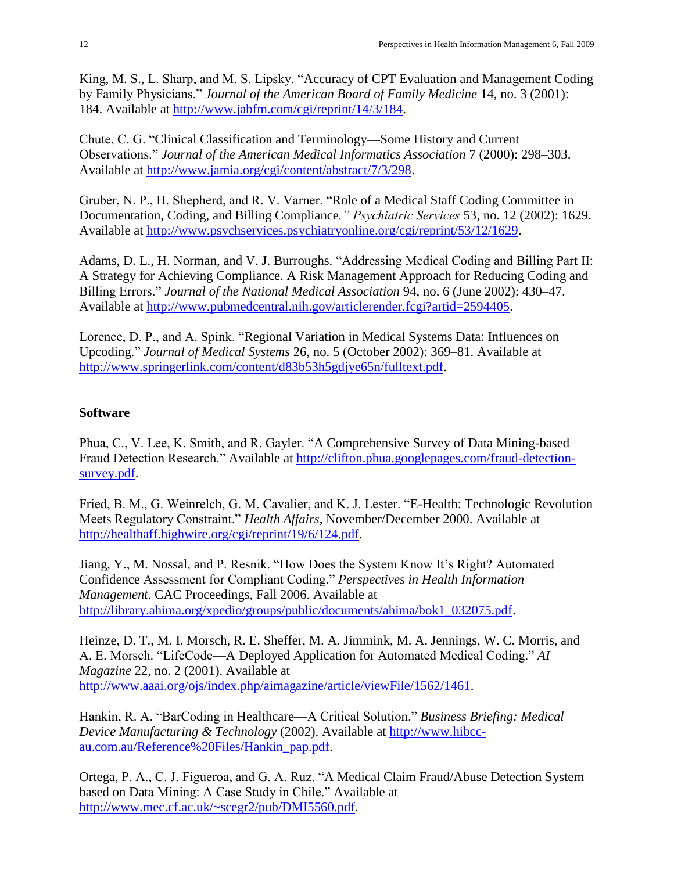King, M. S., L. Sharp, and M. S. Lipsky. "Accuracy of CPT Evaluation and Management Coding by Family Physicians." *Journal of the American Board of Family Medicine* 14, no. 3 (2001): 184. Available at [http://www.jabfm.com/cgi/reprint/14/3/184.](http://www.jabfm.com/cgi/reprint/14/3/184)

Chute, C. G. "Clinical Classification and Terminology—Some History and Current Observations.‖ *Journal of the American Medical Informatics Association* 7 (2000): 298–303. Available at [http://www.jamia.org/cgi/content/abstract/7/3/298.](http://www.jamia.org/cgi/content/abstract/7/3/298)

Gruber, N. P., H. Shepherd, and R. V. Varner. "Role of a Medical Staff Coding Committee in Documentation, Coding, and Billing Compliance*." Psychiatric Services* 53, no. 12 (2002): 1629. Available at [http://www.psychservices.psychiatryonline.org/cgi/reprint/53/12/1629.](http://www.psychservices.psychiatryonline.org/cgi/reprint/53/12/1629)

Adams, D. L., H. Norman, and V. J. Burroughs. "Addressing Medical Coding and Billing Part II: A Strategy for Achieving Compliance. A Risk Management Approach for Reducing Coding and Billing Errors.‖ *Journal of the National Medical Association* 94, no. 6 (June 2002): 430–47. Available at [http://www.pubmedcentral.nih.gov/articlerender.fcgi?artid=2594405.](http://www.pubmedcentral.nih.gov/articlerender.fcgi?artid=2594405)

Lorence, D. P., and A. Spink. "Regional Variation in Medical Systems Data: Influences on Upcoding.‖ *Journal of Medical Systems* 26, no. 5 (October 2002): 369–81. Available at [http://www.springerlink.com/content/d83b53h5gdjye65n/fulltext.pdf.](http://www.springerlink.com/content/d83b53h5gdjye65n/fulltext.pdf)

#### **Software**

Phua, C., V. Lee, K. Smith, and R. Gayler. "A Comprehensive Survey of Data Mining-based Fraud Detection Research." Available at [http://clifton.phua.googlepages.com/fraud-detection](http://clifton.phua.googlepages.com/fraud-detection-survey.pdf)[survey.pdf.](http://clifton.phua.googlepages.com/fraud-detection-survey.pdf)

Fried, B. M., G. Weinrelch, G. M. Cavalier, and K. J. Lester. "E-Health: Technologic Revolution Meets Regulatory Constraint." *Health Affairs*, November/December 2000. Available at [http://healthaff.highwire.org/cgi/reprint/19/6/124.pdf.](http://healthaff.highwire.org/cgi/reprint/19/6/124.pdf)

Jiang, Y., M. Nossal, and P. Resnik. "How Does the System Know It's Right? Automated Confidence Assessment for Compliant Coding." *Perspectives in Health Information Management*. CAC Proceedings, Fall 2006. Available at [http://library.ahima.org/xpedio/groups/public/documents/ahima/bok1\\_032075.pdf.](http://library.ahima.org/xpedio/groups/public/documents/ahima/bok1_032075.pdf)

Heinze, D. T., M. I. Morsch, R. E. Sheffer, M. A. Jimmink, M. A. Jennings, W. C. Morris, and A. E. Morsch. "LifeCode—A Deployed Application for Automated Medical Coding." *AI Magazine* 22, no. 2 (2001). Available at [http://www.aaai.org/ojs/index.php/aimagazine/article/viewFile/1562/1461.](http://www.aaai.org/ojs/index.php/aimagazine/article/viewFile/1562/1461)

Hankin, R. A. "BarCoding in Healthcare—A Critical Solution." *Business Briefing: Medical Device Manufacturing & Technology* (2002). Available at [http://www.hibcc](http://www.hibcc-au.com.au/Reference%20Files/Hankin_pap.pdf)[au.com.au/Reference%20Files/Hankin\\_pap.pdf.](http://www.hibcc-au.com.au/Reference%20Files/Hankin_pap.pdf)

Ortega, P. A., C. J. Figueroa, and G. A. Ruz. "A Medical Claim Fraud/Abuse Detection System based on Data Mining: A Case Study in Chile." Available at [http://www.mec.cf.ac.uk/~scegr2/pub/DMI5560.pdf.](http://www.mec.cf.ac.uk/~scegr2/pub/DMI5560.pdf)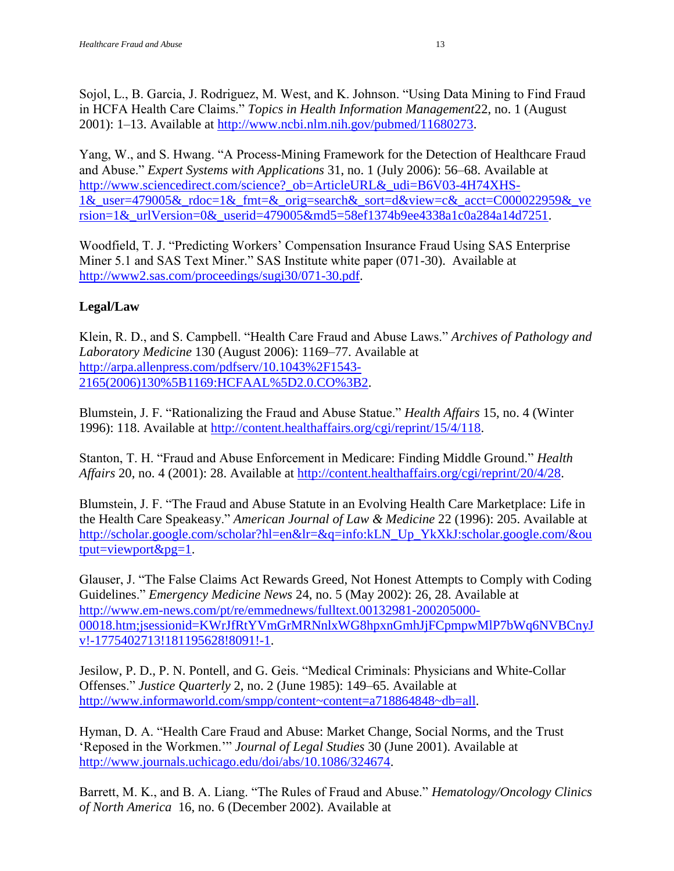Sojol, L., B. Garcia, J. Rodriguez, M. West, and K. Johnson. "Using Data Mining to Find Fraud in HCFA Health Care Claims." *Topics in Health Information Management* 22, no. 1 (August 2001): 1–13. Available at [http://www.ncbi.nlm.nih.gov/pubmed/11680273.](http://www.ncbi.nlm.nih.gov/pubmed/11680273)

Yang, W., and S. Hwang. "A Process-Mining Framework for the Detection of Healthcare Fraud and Abuse.‖ *Expert Systems with Applications* 31, no. 1 (July 2006): 56–68. Available at [http://www.sciencedirect.com/science?\\_ob=ArticleURL&\\_udi=B6V03-4H74XHS-](http://www.sciencedirect.com/science?_ob=ArticleURL&_udi=B6V03-4H74XHS-1&_user=479005&_rdoc=1&_fmt=&_orig=search&_sort=d&view=c&_acct=C000022959&_version=1&_urlVersion=0&_userid=479005&md5=58ef1374b9ee4338a1c0a284a14d7251)1& user=479005& rdoc=1& fmt=& orig=search& sort=d&view=c& acct=C000022959& ve rsion=1& urlVersion=0& userid=479005&md5=58ef1374b9ee4338a1c0a284a14d7251.

Woodfield, T. J. "Predicting Workers' Compensation Insurance Fraud Using SAS Enterprise Miner 5.1 and SAS Text Miner." SAS Institute white paper (071-30). Available at [http://www2.sas.com/proceedings/sugi30/071-30.pdf.](http://www2.sas.com/proceedings/sugi30/071-30.pdf)

# **Legal/Law**

Klein, R. D., and S. Campbell. "Health Care Fraud and Abuse Laws." Archives of Pathology and *Laboratory Medicine* 130 (August 2006): 1169–77. Available at [http://arpa.allenpress.com/pdfserv/10.1043%2F1543-](http://arpa.allenpress.com/pdfserv/10.1043%2F1543-2165(2006)130%5B1169:HCFAAL%5D2.0.CO%3B2) [2165\(2006\)130%5B1169:HCFAAL%5D2.0.CO%3B2.](http://arpa.allenpress.com/pdfserv/10.1043%2F1543-2165(2006)130%5B1169:HCFAAL%5D2.0.CO%3B2)

Blumstein, J. F. "Rationalizing the Fraud and Abuse Statue." *Health Affairs* 15, no. 4 (Winter 1996): 118. Available at [http://content.healthaffairs.org/cgi/reprint/15/4/118.](http://content.healthaffairs.org/cgi/reprint/15/4/118)

Stanton, T. H. "Fraud and Abuse Enforcement in Medicare: Finding Middle Ground." *Health Affairs* 20, no. 4 (2001): 28. Available at [http://content.healthaffairs.org/cgi/reprint/20/4/28.](http://content.healthaffairs.org/cgi/reprint/20/4/28)

Blumstein, J. F. "The Fraud and Abuse Statute in an Evolving Health Care Marketplace: Life in the Health Care Speakeasy." *American Journal of Law & Medicine* 22 (1996): 205. Available at [http://scholar.google.com/scholar?hl=en&lr=&q=info:kLN\\_Up\\_YkXkJ:scholar.google.com/&ou](http://scholar.google.com/scholar?hl=en&lr=&q=info:kLN_Up_YkXkJ:scholar.google.com/&output=viewport&pg=1) [tput=viewport&pg=1.](http://scholar.google.com/scholar?hl=en&lr=&q=info:kLN_Up_YkXkJ:scholar.google.com/&output=viewport&pg=1)

Glauser, J. "The False Claims Act Rewards Greed, Not Honest Attempts to Comply with Coding Guidelines.‖ *Emergency Medicine News* 24, no. 5 (May 2002): 26, 28. Available at [http://www.em-news.com/pt/re/emmednews/fulltext.00132981-200205000-](http://www.em-news.com/pt/re/emmednews/fulltext.00132981-200205000-00018.htm;jsessionid=KWrJfRtYVmGrMRNnlxWG8hpxnGmhJjFCpmpwMlP7bWq6NVBCnyJv!-1775402713!181195628!8091!-1) [00018.htm;jsessionid=KWrJfRtYVmGrMRNnlxWG8hpxnGmhJjFCpmpwMlP7bWq6NVBCnyJ](http://www.em-news.com/pt/re/emmednews/fulltext.00132981-200205000-00018.htm;jsessionid=KWrJfRtYVmGrMRNnlxWG8hpxnGmhJjFCpmpwMlP7bWq6NVBCnyJv!-1775402713!181195628!8091!-1) [v!-1775402713!181195628!8091!-1.](http://www.em-news.com/pt/re/emmednews/fulltext.00132981-200205000-00018.htm;jsessionid=KWrJfRtYVmGrMRNnlxWG8hpxnGmhJjFCpmpwMlP7bWq6NVBCnyJv!-1775402713!181195628!8091!-1)

Jesilow, P. D., P. N. Pontell, and G. Geis. "Medical Criminals: Physicians and White-Collar Offenses.‖ *Justice Quarterly* 2, no. 2 (June 1985): 149–65. Available at [http://www.informaworld.com/smpp/content~content=a718864848~db=all.](http://www.informaworld.com/smpp/content~content=a718864848~db=all)

Hyman, D. A. "Health Care Fraud and Abuse: Market Change, Social Norms, and the Trust 'Reposed in the Workmen.'" *Journal of Legal Studies* 30 (June 2001). Available at [http://www.journals.uchicago.edu/doi/abs/10.1086/324674.](http://www.journals.uchicago.edu/doi/abs/10.1086/324674)

Barrett, M. K., and B. A. Liang. "The Rules of Fraud and Abuse." *Hematology/Oncology Clinics of North America* 16, no. 6 (December 2002). Available at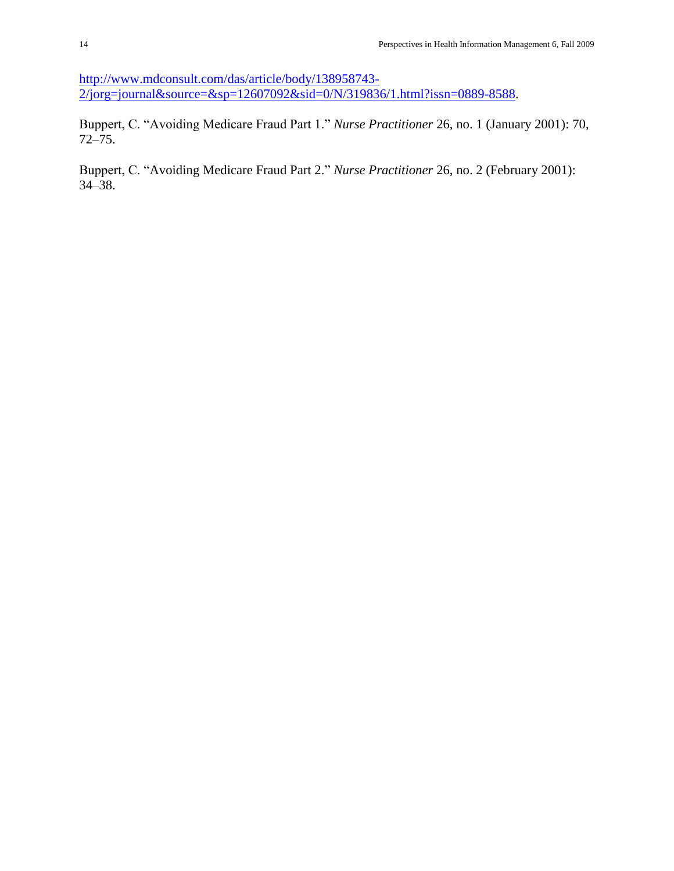[http://www.mdconsult.com/das/article/body/138958743-](http://www.mdconsult.com/das/article/body/138958743-2/jorg=journal&source=&sp=12607092&sid=0/N/319836/1.html?issn=0889-8588) [2/jorg=journal&source=&sp=12607092&sid=0/N/319836/1.html?issn=0889-8588.](http://www.mdconsult.com/das/article/body/138958743-2/jorg=journal&source=&sp=12607092&sid=0/N/319836/1.html?issn=0889-8588)

Buppert, C. "Avoiding Medicare Fraud Part 1." *Nurse Practitioner* 26, no. 1 (January 2001): 70, 72–75.

Buppert, C. "Avoiding Medicare Fraud Part 2." *Nurse Practitioner* 26, no. 2 (February 2001): 34–38.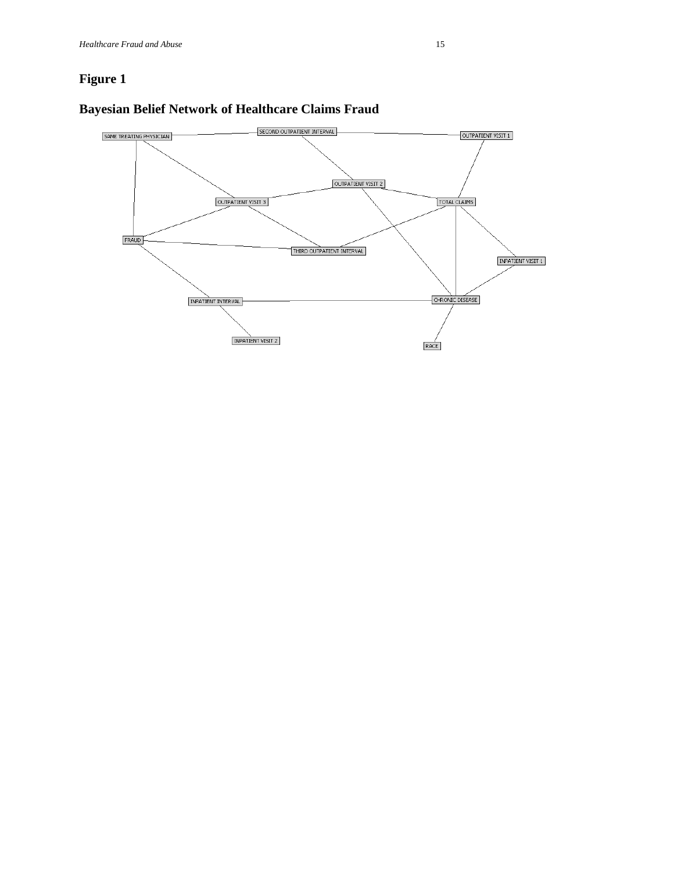

#### **Bayesian Belief Network of Healthcare Claims Fraud**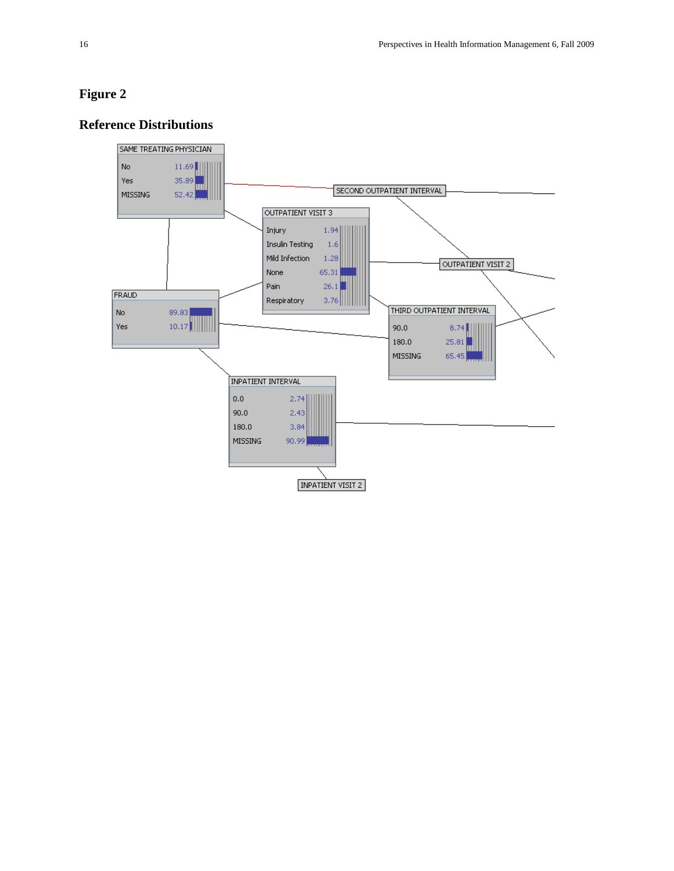# **Reference Distributions**

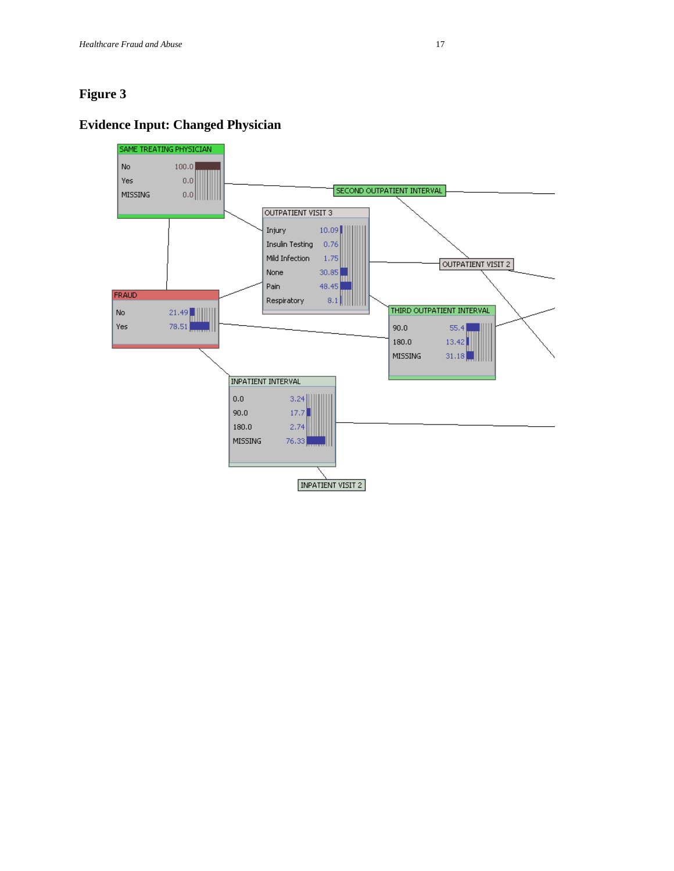# **Evidence Input: Changed Physician**

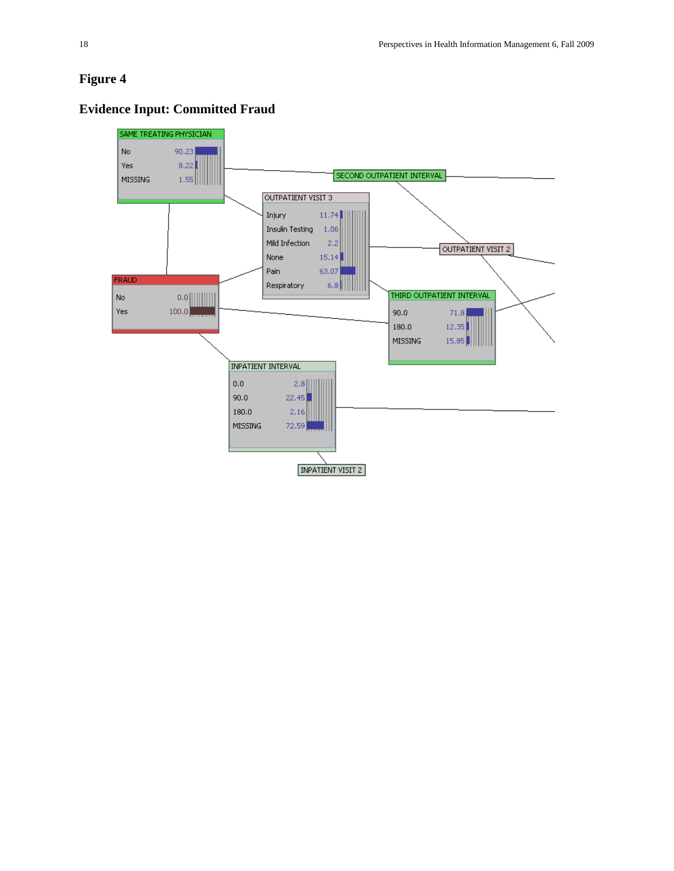#### SAME TREATING PHYSICIAN No. 90.23 Yes  $8.22$ SECOND OUTPATIENT INTERVAL  $1.55$ MISSING OUTPATIENT VISIT 3 Injury  $11.74$ Insulin Testing 1.06 Mild Infection  $2,2$ OUTPATIENT VISIT 2 None  $15.14$ Pain 63.07 FRAUD Respiratory  $6.8$ ||||  $0.0$  |||||||||| THIRD OUTPATIENT INTERVAL No Yes  $100.0$  $90.0$  $71.8$  $180.0$ 12.35 MISSING  $15.85$ **INPATIENT INTERVAL**  $0.0$  $2.8$ ||  $90.0$  $22.45$ 180.0  $2,16$ MISSING 72.59 INPATIENT VISIT 2

# **Evidence Input: Committed Fraud**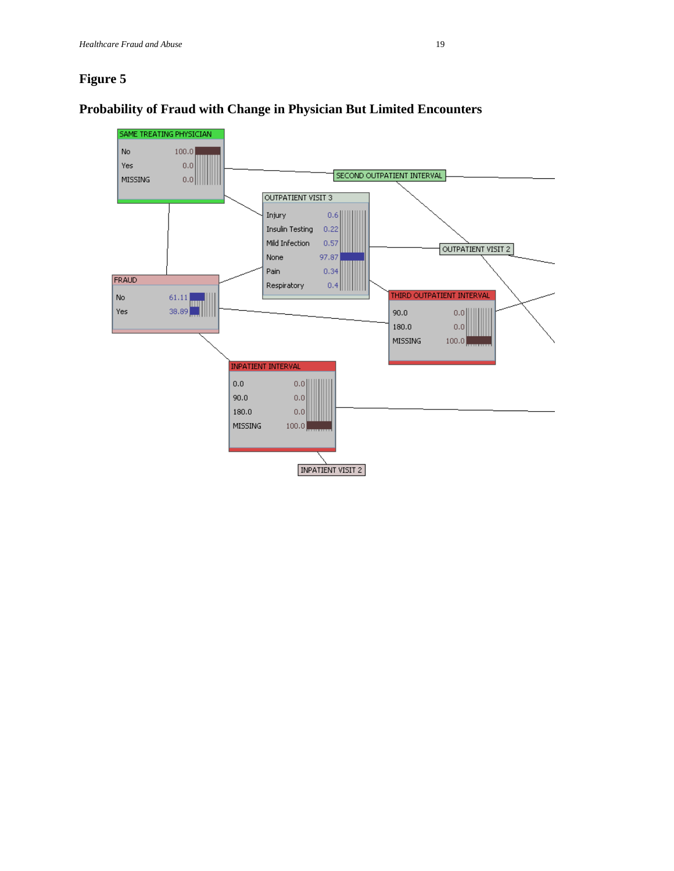

#### **Probability of Fraud with Change in Physician But Limited Encounters**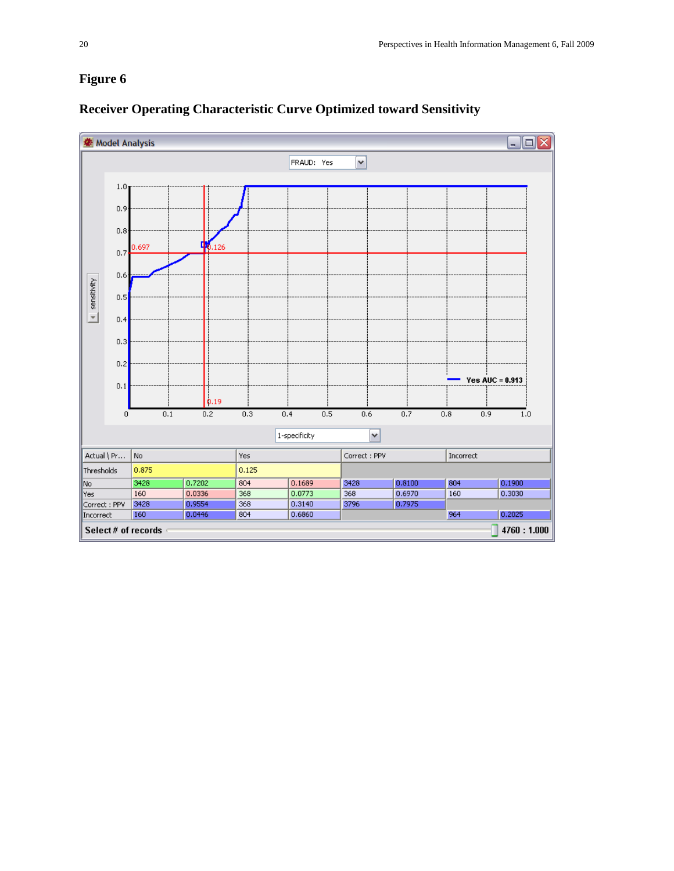

### **Receiver Operating Characteristic Curve Optimized toward Sensitivity**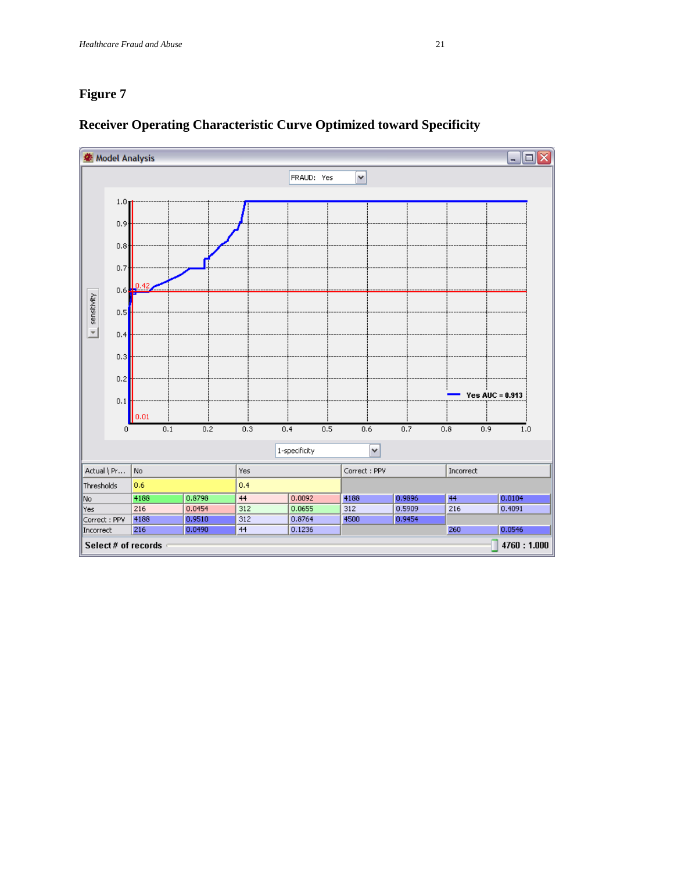

# **Receiver Operating Characteristic Curve Optimized toward Specificity**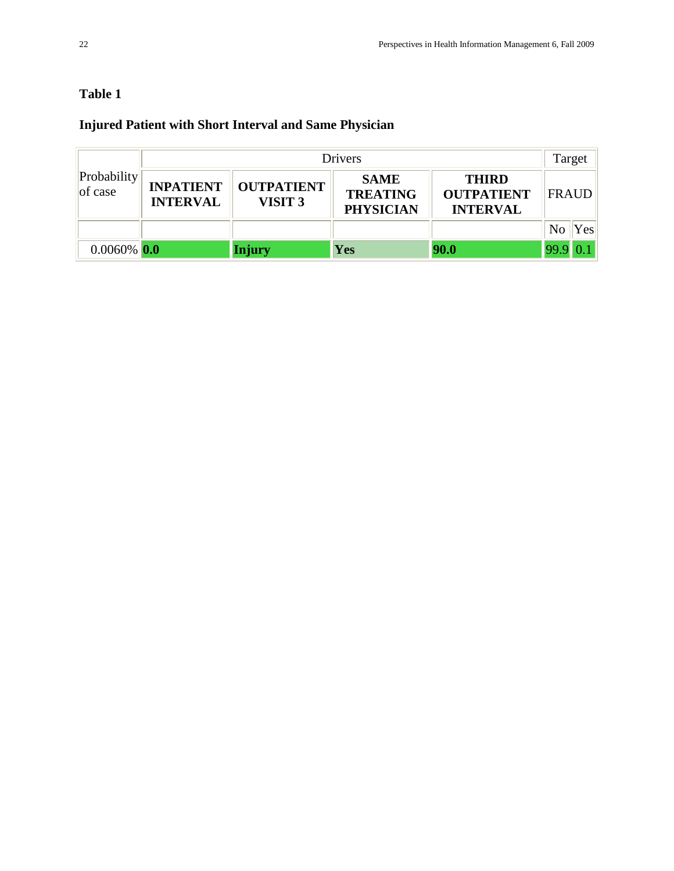# **Table 1**

# **Injured Patient with Short Interval and Same Physician**

| Probability<br>$ $ of case | Drivers                             |                                         |                                                    |                                                      |                       |
|----------------------------|-------------------------------------|-----------------------------------------|----------------------------------------------------|------------------------------------------------------|-----------------------|
|                            | <b>INPATIENT</b><br><b>INTERVAL</b> | <b>OUTPATIENT</b><br>VISIT <sub>3</sub> | <b>SAME</b><br><b>TREATING</b><br><b>PHYSICIAN</b> | <b>THIRD</b><br><b>OUTPATIENT</b><br><b>INTERVAL</b> | <b>FRAUD</b>          |
|                            |                                     |                                         |                                                    |                                                      | N <sub>0</sub><br>Yes |
| $0.0060\%$ 0.0             |                                     | <b>Injury</b>                           | Yes                                                | 90.0                                                 | 99.9                  |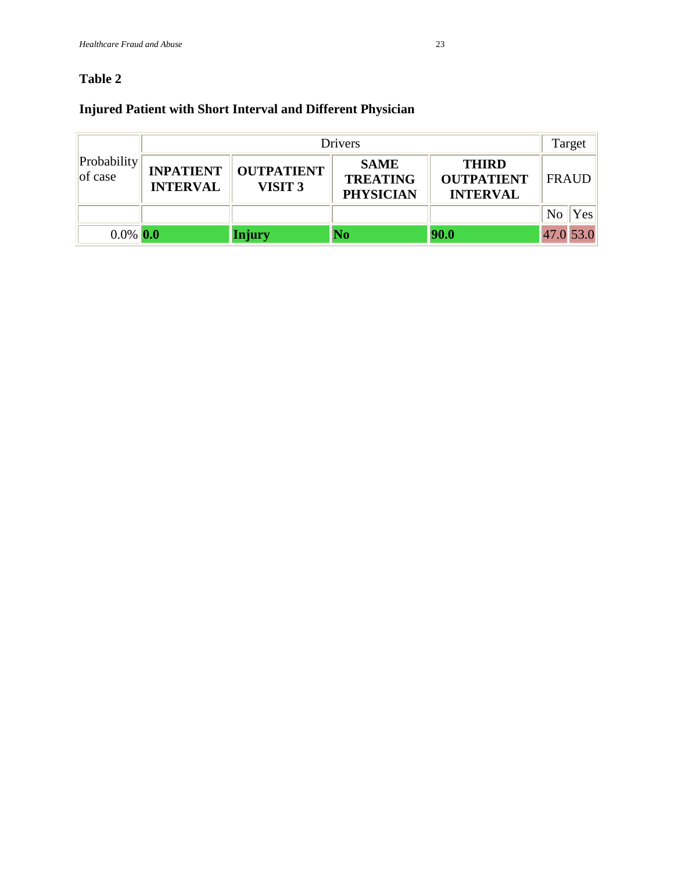# **Table 2**

# **Injured Patient with Short Interval and Different Physician**

| Probability<br>$ $ of case | <b>Drivers</b>                      |                                         |                                                    |                                                      |                        |
|----------------------------|-------------------------------------|-----------------------------------------|----------------------------------------------------|------------------------------------------------------|------------------------|
|                            | <b>INPATIENT</b><br><b>INTERVAL</b> | <b>OUTPATIENT</b><br>VISIT <sub>3</sub> | <b>SAME</b><br><b>TREATING</b><br><b>PHYSICIAN</b> | <b>THIRD</b><br><b>OUTPATIENT</b><br><b>INTERVAL</b> | <b>FRAUD</b>           |
|                            |                                     |                                         |                                                    |                                                      | N <sub>o</sub><br>Yesl |
| $0.0\%$ 0.0                |                                     | <b>Injury</b>                           | No                                                 | 90.0                                                 | 47.0 53.0              |